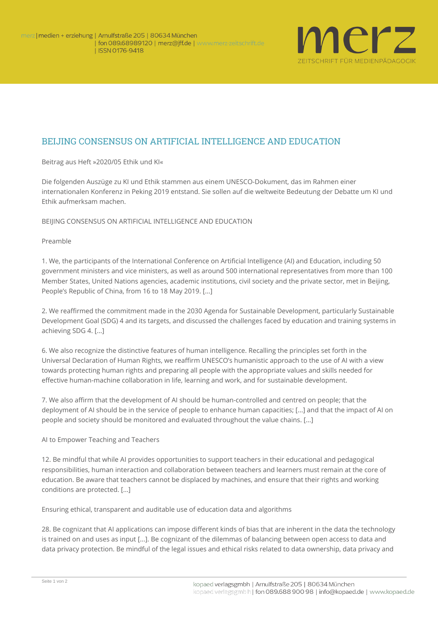

## BEIJING CONSENSUS ON ARTIFICIAL INTELLIGENCE AND EDUCATION

**Beitrag aus Heft »2020/05 Ethik und KI«**

Die folgenden Auszüge zu KI und Ethik stammen aus einem UNESCO-Dokument, das im Rahmen einer internationalen Konferenz in Peking 2019 entstand. Sie sollen auf die weltweite Bedeutung der Debatte um KI und Ethik aufmerksam machen.

**BEIJING CONSENSUS ON ARTIFICIAL INTELLIGENCE AND EDUCATION**

**Preamble** 

1. We, the participants of the *International Conference on Artificial Intelligence (AI) and Education,* including 50 government ministers and vice ministers, as well as around 500 international representatives from more than 100 Member States, United Nations agencies, academic institutions, civil society and the private sector, met in Beijing, People's Republic of China, from 16 to 18 May 2019. [...]

2. We reaffirmed the commitment made in the 2030 Agenda for Sustainable Development, particularly Sustainable Development Goal (SDG) 4 and its targets, and discussed the challenges faced by education and training systems in achieving SDG 4. [...]

6. We also recognize the distinctive features of human intelligence. Recalling the principles set forth in the *Universal Declaration of Human Rights*, we reaffirm UNESCO's humanistic approach to the use of AI with a view towards protecting human rights and preparing all people with the appropriate values and skills needed for effective human-machine collaboration in life, learning and work, and for sustainable development.

7. We also affirm that the development of AI should be human-controlled and centred on people; that the deployment of AI should be in the service of people to enhance human capacities; [...] and that the impact of AI on people and society should be monitored and evaluated throughout the value chains. [...]

**AI to Empower Teaching and Teachers**

12. Be mindful that while AI provides opportunities to support teachers in their educational and pedagogical responsibilities, human interaction and collaboration between teachers and learners must remain at the core of education. Be aware that teachers cannot be displaced by machines, and ensure that their rights and working conditions are protected. [...]

**Ensuring ethical, transparent and auditable use of education data and algorithms**

28. Be cognizant that AI applications can impose different kinds of bias that are inherent in the data the technology is trained on and uses as input [...]. Be cognizant of the dilemmas of balancing between open access to data and data privacy protection. Be mindful of the legal issues and ethical risks related to data ownership, data privacy and